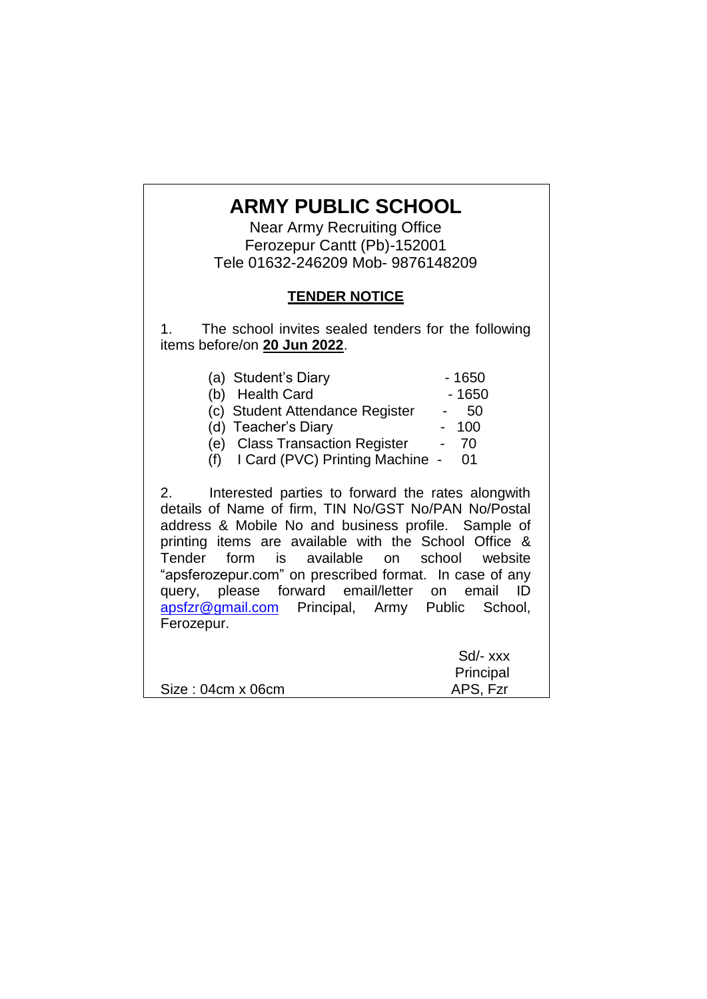# **ARMY PUBLIC SCHOOL**

Near Army Recruiting Office Ferozepur Cantt (Pb)-152001 Tele 01632-246209 Mob- 9876148209

## **TENDER NOTICE**

1. The school invites sealed tenders for the following items before/on **20 Jun 2022**.

| (a) Student's Diary<br>(b) Health Card<br>(c) Student Attendance Register - 50<br>(d) Teacher's Diary<br>(e) Class Transaction Register<br>$(f)$ I Card (PVC) Printing Machine - 01                                                                                                                                                                                                                                                                      | $-1650$<br>$-1650$<br>- 100<br>- 70 |
|----------------------------------------------------------------------------------------------------------------------------------------------------------------------------------------------------------------------------------------------------------------------------------------------------------------------------------------------------------------------------------------------------------------------------------------------------------|-------------------------------------|
| Interested parties to forward the rates alongwith<br>2.<br>details of Name of firm, TIN No/GST No/PAN No/Postal<br>address & Mobile No and business profile. Sample of<br>printing items are available with the School Office &<br>Tender form is available on school website<br>"apsferozepur.com" on prescribed format. In case of any<br>query, please forward email/letter on email<br>apsfzr@gmail.com Principal, Army Public School,<br>Ferozepur. | - ID                                |
| Size: 04cm x 06cm                                                                                                                                                                                                                                                                                                                                                                                                                                        | Sd/- xxx<br>Principal<br>APS, Fzr   |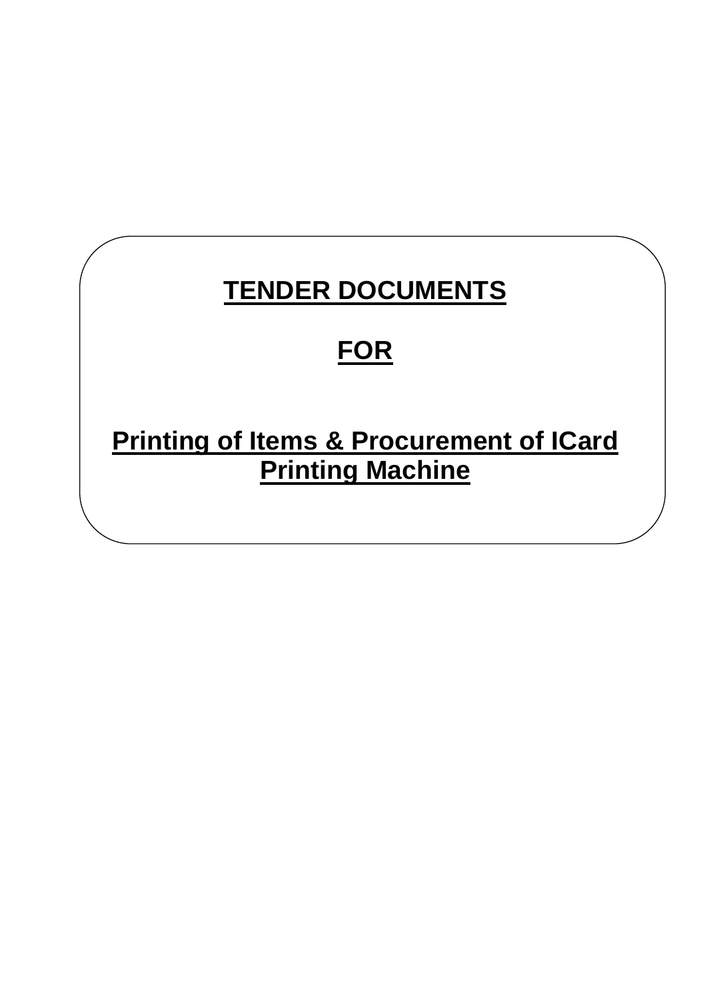# **TENDER DOCUMENTS**

# **FOR**

**Printing of Items & Procurement of ICard Printing Machine**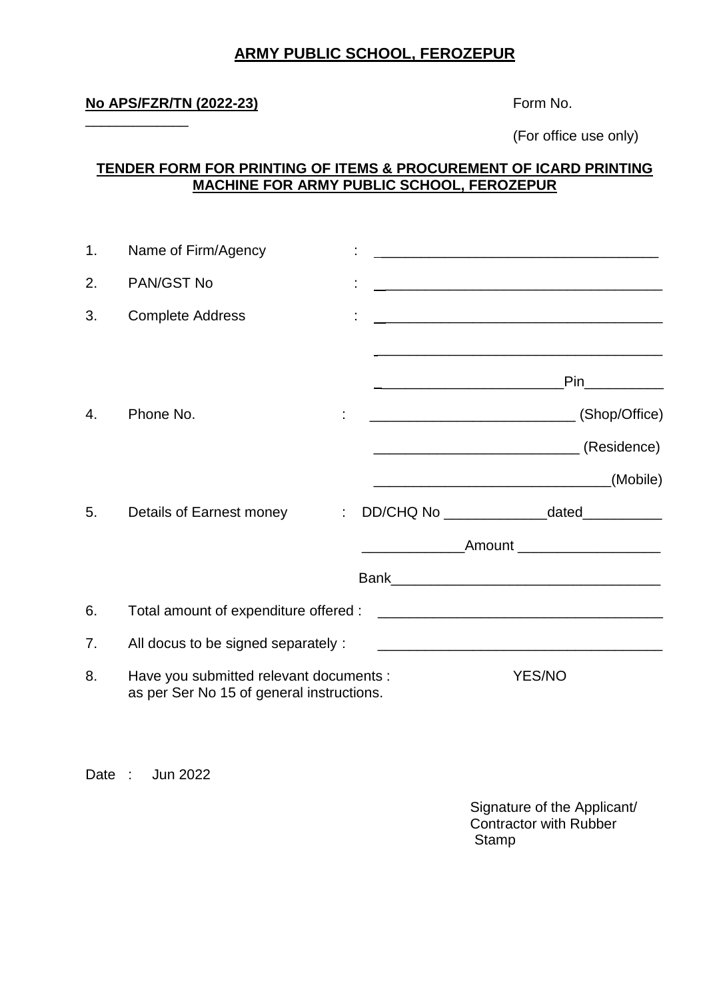## **ARMY PUBLIC SCHOOL, FEROZEPUR**

### **No APS/FZR/TN (2022-23)** Form No.

\_\_\_\_\_\_\_\_\_\_\_\_\_

(For office use only)

## **TENDER FORM FOR PRINTING OF ITEMS & PROCUREMENT OF ICARD PRINTING MACHINE FOR ARMY PUBLIC SCHOOL, FEROZEPUR**

| $\mathbf{1}$ . | Name of Firm/Agency                                                                  |   |                                                          | <u> 1980 - Johann Harry Harry Harry Harry Harry Harry Harry Harry Harry Harry Harry Harry Harry Harry Harry Harry</u> |
|----------------|--------------------------------------------------------------------------------------|---|----------------------------------------------------------|-----------------------------------------------------------------------------------------------------------------------|
| 2.             | PAN/GST No                                                                           |   |                                                          | <u> 1989 - Johann John Stone, mars eta biztanleria (h. 1989).</u>                                                     |
| 3.             | <b>Complete Address</b>                                                              |   |                                                          | <u> 1989 - Johann Barbara, martxa al III-lea (h. 1989).</u>                                                           |
|                |                                                                                      |   | <u> 1989 - Johann Barbara, martxa alemaniar a</u>        | <b>Pinaming Service State</b>                                                                                         |
| 4.             | Phone No.                                                                            |   |                                                          |                                                                                                                       |
|                |                                                                                      |   |                                                          |                                                                                                                       |
|                |                                                                                      |   | <u> 1980 - Jan James James Barnett, amerikan bizko a</u> | (Mobile)                                                                                                              |
| 5.             | Details of Earnest money                                                             | ÷ |                                                          | DD/CHQ No ___________________dated____________                                                                        |
|                |                                                                                      |   |                                                          | ___________________Amount _______________________                                                                     |
|                |                                                                                      |   |                                                          |                                                                                                                       |
| 6.             | Total amount of expenditure offered :                                                |   |                                                          | <u> 2000 - Jan James James Jan James James Jan James James Jan James James Jan Jan James Jan Jan Jan Jan Jan Jan</u>  |
| 7.             | All docus to be signed separately :                                                  |   |                                                          |                                                                                                                       |
| 8.             | Have you submitted relevant documents :<br>as per Ser No 15 of general instructions. |   |                                                          | <b>YES/NO</b>                                                                                                         |

Date : Jun 2022

Signature of the Applicant/ Contractor with Rubber **Stamp**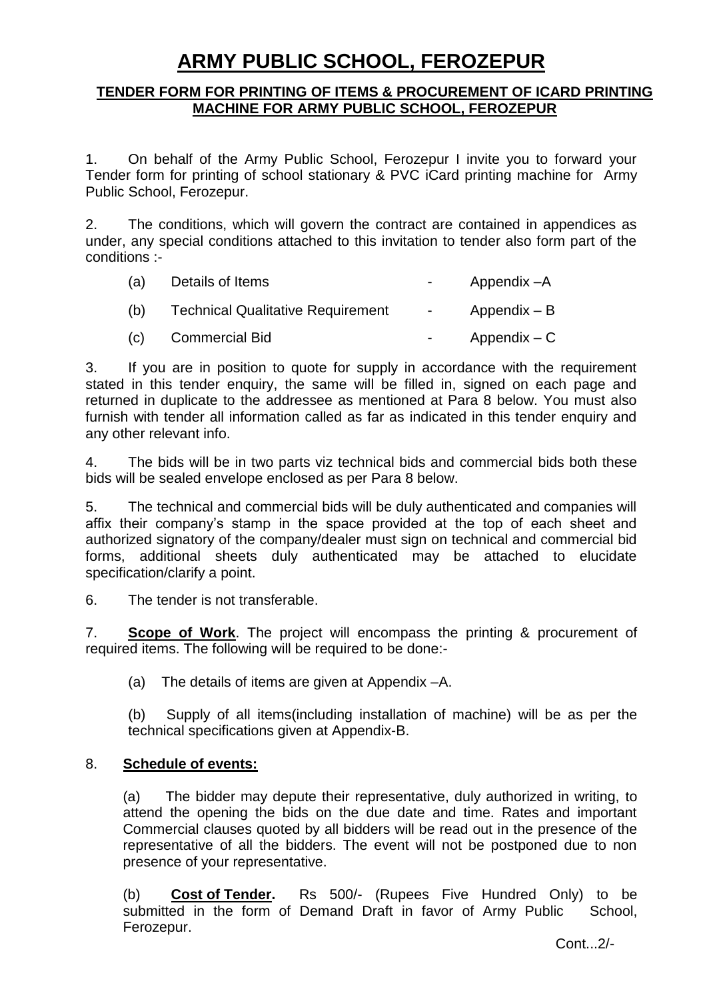# **ARMY PUBLIC SCHOOL, FEROZEPUR**

#### **TENDER FORM FOR PRINTING OF ITEMS & PROCUREMENT OF ICARD PRINTING MACHINE FOR ARMY PUBLIC SCHOOL, FEROZEPUR**

1. On behalf of the Army Public School, Ferozepur I invite you to forward your Tender form for printing of school stationary & PVC iCard printing machine for Army Public School, Ferozepur.

2. The conditions, which will govern the contract are contained in appendices as under, any special conditions attached to this invitation to tender also form part of the conditions :-

| (a) | Details of Items                         | $\sim$ 100 $\mu$ | Appendix -A    |
|-----|------------------------------------------|------------------|----------------|
| (b) | <b>Technical Qualitative Requirement</b> | $\sim 100$       | Appendix – B   |
| (C) | <b>Commercial Bid</b>                    |                  | $Appendix - C$ |

3. If you are in position to quote for supply in accordance with the requirement stated in this tender enquiry, the same will be filled in, signed on each page and returned in duplicate to the addressee as mentioned at Para 8 below. You must also furnish with tender all information called as far as indicated in this tender enquiry and any other relevant info.

4. The bids will be in two parts viz technical bids and commercial bids both these bids will be sealed envelope enclosed as per Para 8 below.

5. The technical and commercial bids will be duly authenticated and companies will affix their company"s stamp in the space provided at the top of each sheet and authorized signatory of the company/dealer must sign on technical and commercial bid forms, additional sheets duly authenticated may be attached to elucidate specification/clarify a point.

6. The tender is not transferable.

7. **Scope of Work**. The project will encompass the printing & procurement of required items. The following will be required to be done:-

(a) The details of items are given at Appendix –A.

(b) Supply of all items(including installation of machine) will be as per the technical specifications given at Appendix-B.

#### 8. **Schedule of events:**

(a) The bidder may depute their representative, duly authorized in writing, to attend the opening the bids on the due date and time. Rates and important Commercial clauses quoted by all bidders will be read out in the presence of the representative of all the bidders. The event will not be postponed due to non presence of your representative.

(b) **Cost of Tender.** Rs 500/- (Rupees Five Hundred Only) to be submitted in the form of Demand Draft in favor of Army Public School, Ferozepur.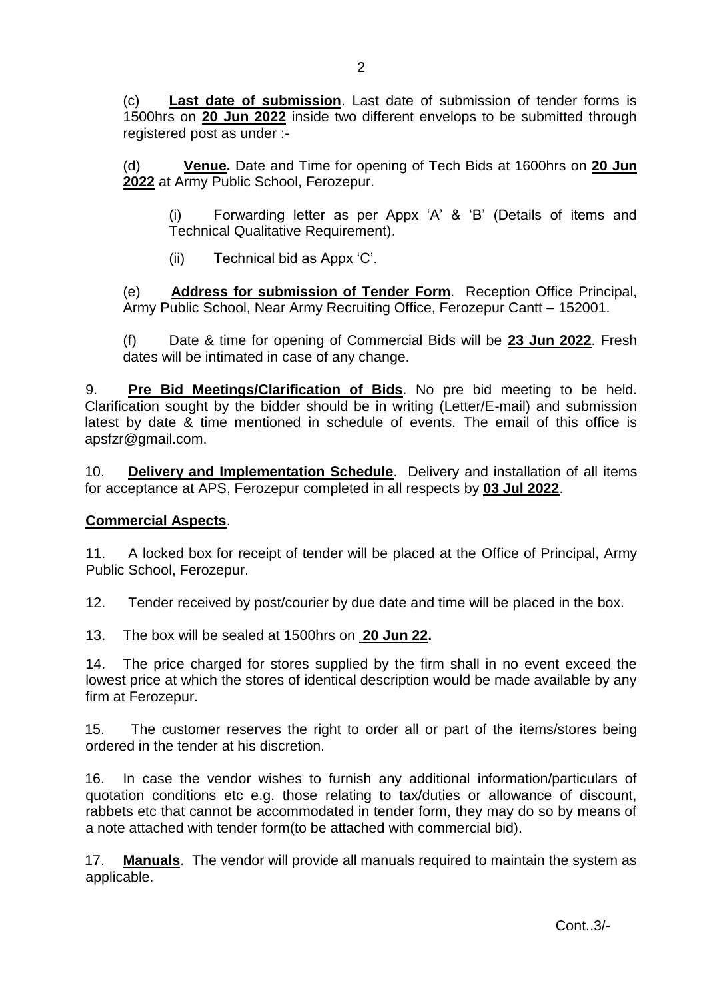(c) **Last date of submission**. Last date of submission of tender forms is 1500hrs on **20 Jun 2022** inside two different envelops to be submitted through registered post as under :-

(d) **Venue.** Date and Time for opening of Tech Bids at 1600hrs on **20 Jun 2022** at Army Public School, Ferozepur.

(i) Forwarding letter as per Appx "A" & "B" (Details of items and Technical Qualitative Requirement).

(ii) Technical bid as Appx "C".

(e) **Address for submission of Tender Form**. Reception Office Principal, Army Public School, Near Army Recruiting Office, Ferozepur Cantt – 152001.

(f) Date & time for opening of Commercial Bids will be **23 Jun 2022**. Fresh dates will be intimated in case of any change.

9. **Pre Bid Meetings/Clarification of Bids**. No pre bid meeting to be held. Clarification sought by the bidder should be in writing (Letter/E-mail) and submission latest by date & time mentioned in schedule of events. The email of this office is apsfzr@gmail.com.

10. **Delivery and Implementation Schedule**. Delivery and installation of all items for acceptance at APS, Ferozepur completed in all respects by **03 Jul 2022**.

## **Commercial Aspects**.

11. A locked box for receipt of tender will be placed at the Office of Principal, Army Public School, Ferozepur.

12. Tender received by post/courier by due date and time will be placed in the box.

13. The box will be sealed at 1500hrs on **20 Jun 22.**

14. The price charged for stores supplied by the firm shall in no event exceed the lowest price at which the stores of identical description would be made available by any firm at Ferozepur.

15. The customer reserves the right to order all or part of the items/stores being ordered in the tender at his discretion.

16. In case the vendor wishes to furnish any additional information/particulars of quotation conditions etc e.g. those relating to tax/duties or allowance of discount, rabbets etc that cannot be accommodated in tender form, they may do so by means of a note attached with tender form(to be attached with commercial bid).

17. **Manuals**. The vendor will provide all manuals required to maintain the system as applicable.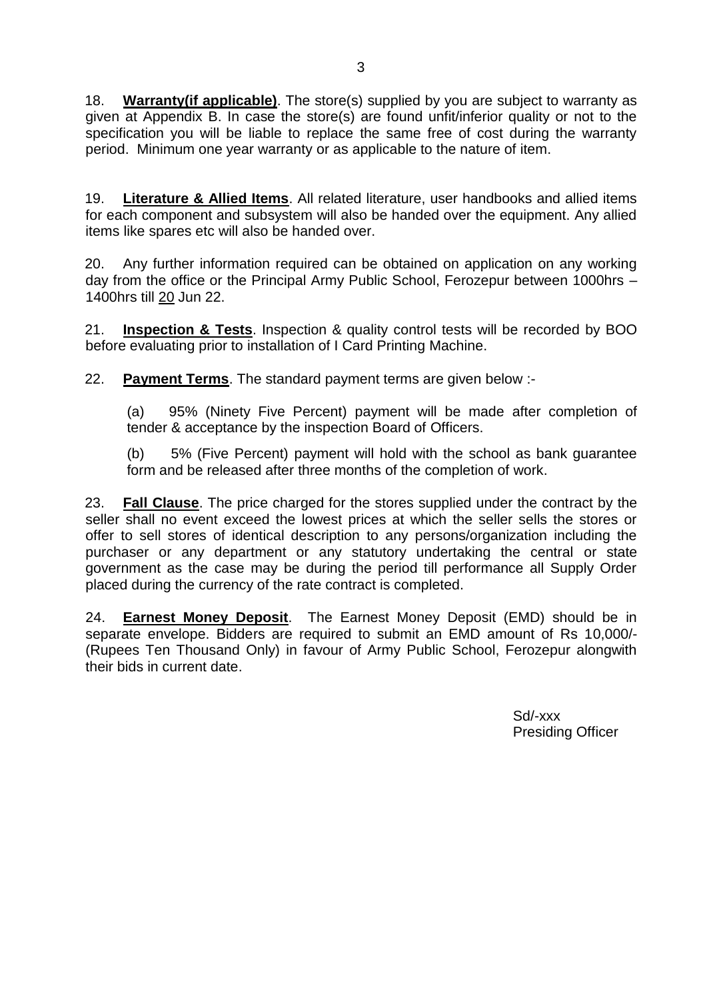18. **Warranty(if applicable)**. The store(s) supplied by you are subject to warranty as given at Appendix B. In case the store(s) are found unfit/inferior quality or not to the specification you will be liable to replace the same free of cost during the warranty period. Minimum one year warranty or as applicable to the nature of item.

19. **Literature & Allied Items**. All related literature, user handbooks and allied items for each component and subsystem will also be handed over the equipment. Any allied items like spares etc will also be handed over.

20. Any further information required can be obtained on application on any working day from the office or the Principal Army Public School, Ferozepur between 1000hrs – 1400hrs till 20 Jun 22.

21. **Inspection & Tests**. Inspection & quality control tests will be recorded by BOO before evaluating prior to installation of I Card Printing Machine.

22. **Payment Terms**. The standard payment terms are given below :-

(a) 95% (Ninety Five Percent) payment will be made after completion of tender & acceptance by the inspection Board of Officers.

(b) 5% (Five Percent) payment will hold with the school as bank guarantee form and be released after three months of the completion of work.

23. **Fall Clause**. The price charged for the stores supplied under the contract by the seller shall no event exceed the lowest prices at which the seller sells the stores or offer to sell stores of identical description to any persons/organization including the purchaser or any department or any statutory undertaking the central or state government as the case may be during the period till performance all Supply Order placed during the currency of the rate contract is completed.

24. **Earnest Money Deposit**. The Earnest Money Deposit (EMD) should be in separate envelope. Bidders are required to submit an EMD amount of Rs 10,000/- (Rupees Ten Thousand Only) in favour of Army Public School, Ferozepur alongwith their bids in current date.

> Sd/-xxx Presiding Officer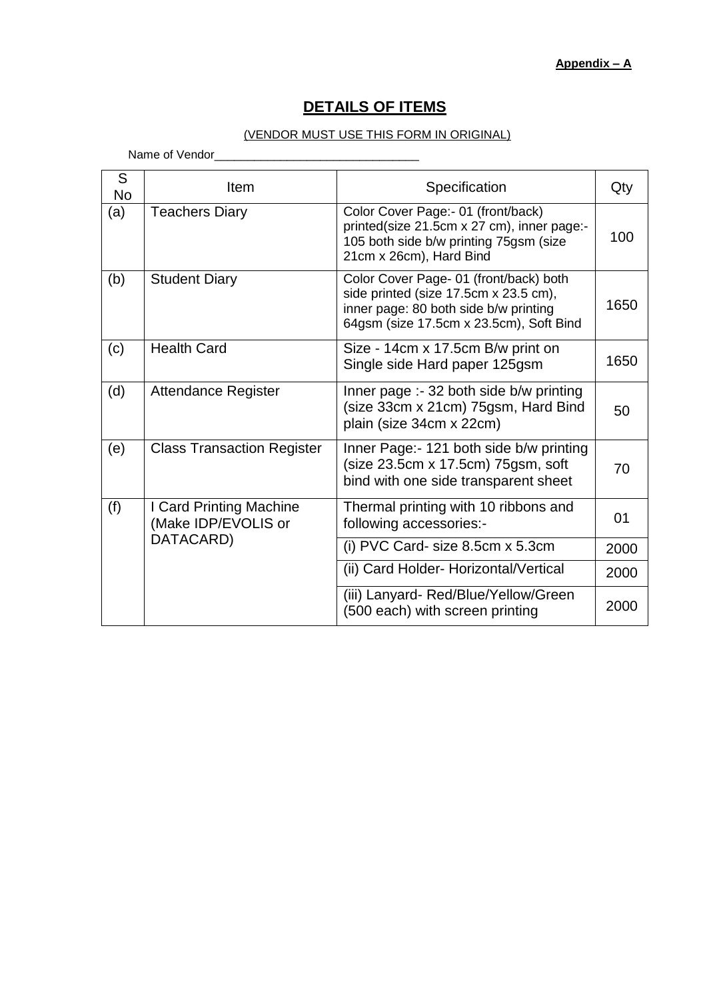# **DETAILS OF ITEMS**

#### (VENDOR MUST USE THIS FORM IN ORIGINAL)

Name of Vendor\_\_\_\_\_\_\_\_\_\_\_\_\_\_\_\_\_\_\_\_\_\_\_\_\_\_\_\_\_\_\_

| S<br><b>No</b> | Item                                           | Specification                                                                                                                                                       | Qty  |
|----------------|------------------------------------------------|---------------------------------------------------------------------------------------------------------------------------------------------------------------------|------|
| (a)            | <b>Teachers Diary</b>                          | Color Cover Page:- 01 (front/back)<br>printed(size 21.5cm x 27 cm), inner page:-<br>105 both side b/w printing 75gsm (size<br>21cm x 26cm), Hard Bind               | 100  |
| (b)            | <b>Student Diary</b>                           | Color Cover Page- 01 (front/back) both<br>side printed (size 17.5cm x 23.5 cm),<br>inner page: 80 both side b/w printing<br>64gsm (size 17.5cm x 23.5cm), Soft Bind | 1650 |
| (c)            | <b>Health Card</b>                             | Size - 14cm x 17.5cm B/w print on<br>Single side Hard paper 125gsm                                                                                                  | 1650 |
| (d)            | <b>Attendance Register</b>                     | Inner page :- 32 both side b/w printing<br>(size 33cm x 21cm) 75gsm, Hard Bind<br>plain (size 34cm x 22cm)                                                          | 50   |
| (e)            | <b>Class Transaction Register</b>              | Inner Page: - 121 both side b/w printing<br>(size 23.5cm x 17.5cm) 75gsm, soft<br>bind with one side transparent sheet                                              | 70   |
| (f)            | I Card Printing Machine<br>(Make IDP/EVOLIS or | Thermal printing with 10 ribbons and<br>following accessories:-                                                                                                     | 01   |
|                | DATACARD)                                      | (i) PVC Card- size 8.5cm x 5.3cm                                                                                                                                    | 2000 |
|                |                                                | (ii) Card Holder- Horizontal/Vertical                                                                                                                               | 2000 |
|                |                                                | (iii) Lanyard- Red/Blue/Yellow/Green<br>(500 each) with screen printing                                                                                             | 2000 |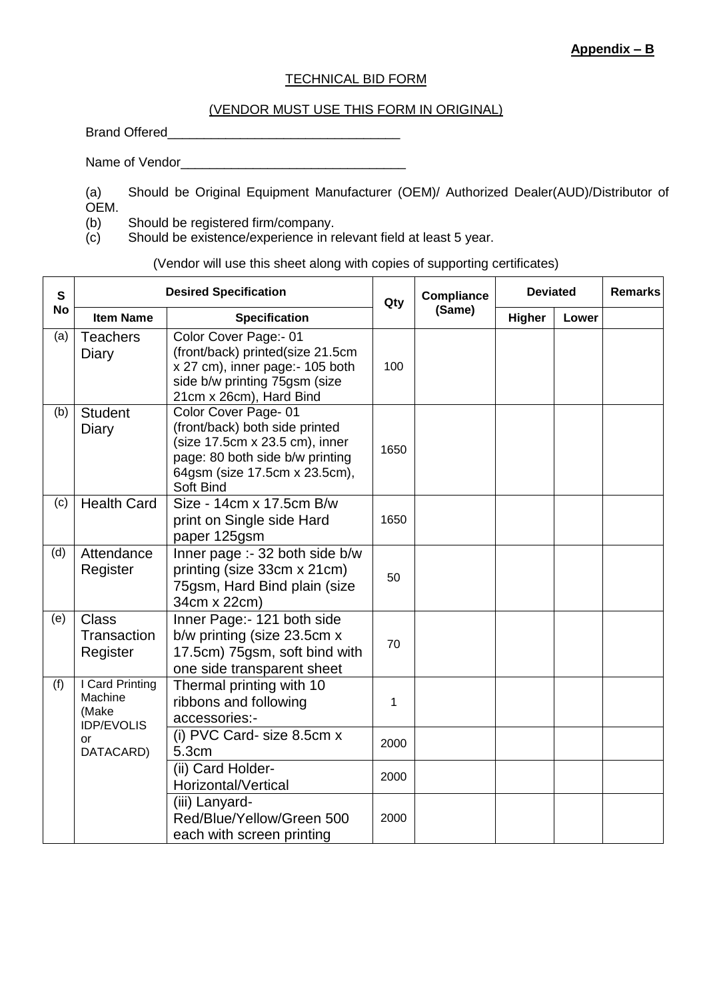#### TECHNICAL BID FORM

#### (VENDOR MUST USE THIS FORM IN ORIGINAL)

Brand Offered\_\_\_\_\_\_\_\_\_\_\_\_\_\_\_\_\_\_\_\_\_\_\_\_\_\_\_\_\_\_\_\_

Name of Vendor

- Should be Original Equipment Manufacturer (OEM)/ Authorized Dealer(AUD)/Distributor of (a)<br>OEM.<br>(b)
- 
- Should be registered firm/company.
- (c) Should be existence/experience in relevant field at least 5 year.

(Vendor will use this sheet along with copies of supporting certificates)

| $\mathbf{s}$<br><b>No</b> | <b>Desired Specification</b>                             |                                                                                                                                                                          |      | Compliance | <b>Deviated</b> |       | <b>Remarks</b> |
|---------------------------|----------------------------------------------------------|--------------------------------------------------------------------------------------------------------------------------------------------------------------------------|------|------------|-----------------|-------|----------------|
|                           | <b>Item Name</b>                                         | <b>Specification</b>                                                                                                                                                     | Qty  | (Same)     | Higher          | Lower |                |
| (a)                       | <b>Teachers</b><br>Diary                                 | Color Cover Page:- 01<br>(front/back) printed(size 21.5cm<br>x 27 cm), inner page:- 105 both<br>side b/w printing 75gsm (size<br>21cm x 26cm), Hard Bind                 |      |            |                 |       |                |
| (b)                       | <b>Student</b><br>Diary                                  | Color Cover Page-01<br>(front/back) both side printed<br>(size 17.5cm x 23.5 cm), inner<br>page: 80 both side b/w printing<br>64gsm (size 17.5cm x 23.5cm),<br>Soft Bind | 1650 |            |                 |       |                |
| (c)                       | <b>Health Card</b>                                       | Size - 14cm x 17.5cm B/w<br>print on Single side Hard<br>paper 125gsm                                                                                                    | 1650 |            |                 |       |                |
| (d)                       | Attendance<br>Register                                   | Inner page :- 32 both side b/w<br>printing (size 33cm x 21cm)<br>75gsm, Hard Bind plain (size<br>34cm x 22cm)                                                            | 50   |            |                 |       |                |
| (e)                       | <b>Class</b><br>Transaction<br>Register                  | Inner Page:- 121 both side<br>b/w printing (size 23.5cm x)<br>17.5cm) 75gsm, soft bind with<br>one side transparent sheet                                                | 70   |            |                 |       |                |
| (f)                       | I Card Printing<br>Machine<br>(Make<br><b>IDP/EVOLIS</b> | Thermal printing with 10<br>ribbons and following<br>accessories:-                                                                                                       | 1    |            |                 |       |                |
|                           | or<br>DATACARD)                                          | (i) PVC Card- size 8.5cm x<br>5.3cm                                                                                                                                      | 2000 |            |                 |       |                |
|                           |                                                          | (ii) Card Holder-<br>Horizontal/Vertical                                                                                                                                 | 2000 |            |                 |       |                |
|                           |                                                          | (iii) Lanyard-<br>Red/Blue/Yellow/Green 500<br>each with screen printing                                                                                                 | 2000 |            |                 |       |                |